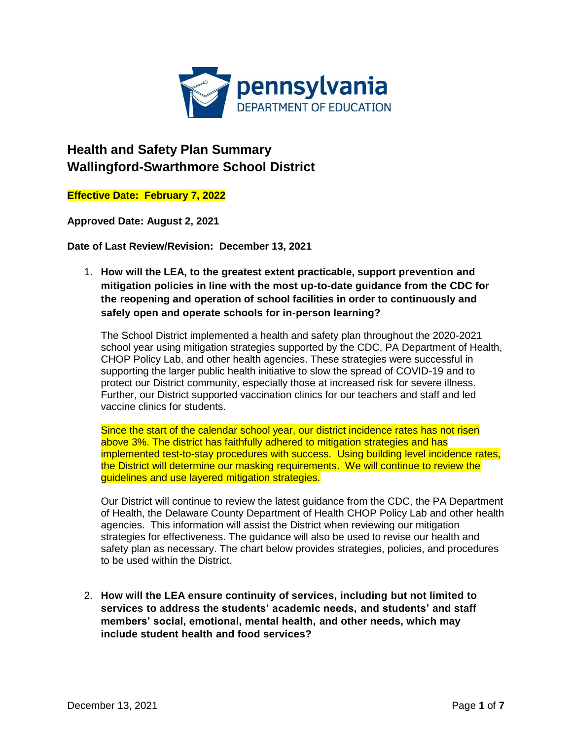

## **Health and Safety Plan Summary Wallingford-Swarthmore School District**

**Effective Date: February 7, 2022**

**Approved Date: August 2, 2021** 

**Date of Last Review/Revision: December 13, 2021**

1. **How will the LEA, to the greatest extent practicable, support prevention and mitigation policies in line with the most up-to-date guidance from the CDC for the reopening and operation of school facilities in order to continuously and safely open and operate schools for in-person learning?** 

The School District implemented a health and safety plan throughout the 2020-2021 school year using mitigation strategies supported by the CDC, PA Department of Health, CHOP Policy Lab, and other health agencies. These strategies were successful in supporting the larger public health initiative to slow the spread of COVID-19 and to protect our District community, especially those at increased risk for severe illness. Further, our District supported vaccination clinics for our teachers and staff and led vaccine clinics for students.

Since the start of the calendar school year, our district incidence rates has not risen above 3%. The district has faithfully adhered to mitigation strategies and has implemented test-to-stay procedures with success. Using building level incidence rates, the District will determine our masking requirements. We will continue to review the guidelines and use layered mitigation strategies.

Our District will continue to review the latest guidance from the CDC, the PA Department of Health, the Delaware County Department of Health CHOP Policy Lab and other health agencies. This information will assist the District when reviewing our mitigation strategies for effectiveness. The guidance will also be used to revise our health and safety plan as necessary. The chart below provides strategies, policies, and procedures to be used within the District.

2. **How will the LEA ensure continuity of services, including but not limited to services to address the students' academic needs, and students' and staff members' social, emotional, mental health, and other needs, which may include student health and food services?**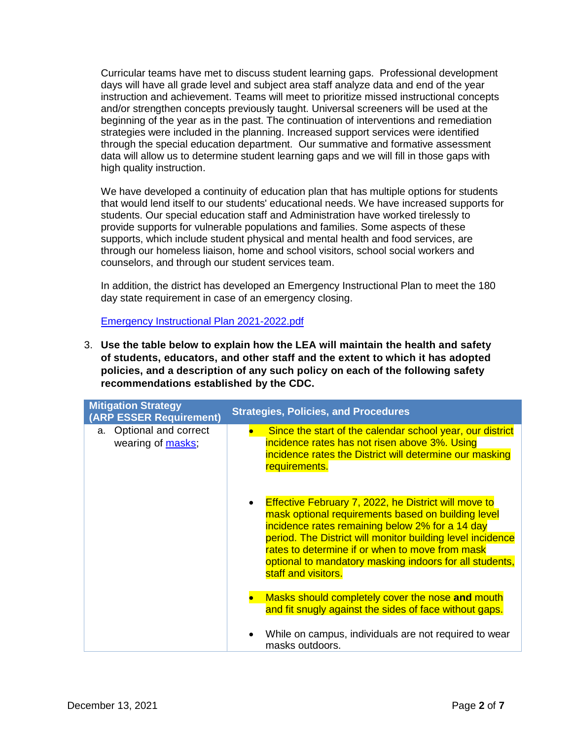Curricular teams have met to discuss student learning gaps. Professional development days will have all grade level and subject area staff analyze data and end of the year instruction and achievement. Teams will meet to prioritize missed instructional concepts and/or strengthen concepts previously taught. Universal screeners will be used at the beginning of the year as in the past. The continuation of interventions and remediation strategies were included in the planning. Increased support services were identified through the special education department. Our summative and formative assessment data will allow us to determine student learning gaps and we will fill in those gaps with high quality instruction.

We have developed a continuity of education plan that has multiple options for students that would lend itself to our students' educational needs. We have increased supports for students. Our special education staff and Administration have worked tirelessly to provide supports for vulnerable populations and families. Some aspects of these supports, which include student physical and mental health and food services, are through our homeless liaison, home and school visitors, school social workers and counselors, and through our student services team.

In addition, the district has developed an Emergency Instructional Plan to meet the 180 day state requirement in case of an emergency closing.

[Emergency Instructional Plan 2021-2022.pdf](file:///C:/Users/MFigura/Documents/Emergency%20Instructional%20Plan%202021-2022.pdf)

3. **Use the table below to explain how the LEA will maintain the health and safety of students, educators, and other staff and the extent to which it has adopted policies, and a description of any such policy on each of the following safety recommendations established by the CDC.**

| <b>Mitigation Strategy</b><br>(ARP ESSER Requirement) | <b>Strategies, Policies, and Procedures</b>                                                                                                                                                                                                                                                                                                                                          |
|-------------------------------------------------------|--------------------------------------------------------------------------------------------------------------------------------------------------------------------------------------------------------------------------------------------------------------------------------------------------------------------------------------------------------------------------------------|
| a. Optional and correct<br>wearing of masks;          | Since the start of the calendar school year, our district<br>incidence rates has not risen above 3%. Using<br>incidence rates the District will determine our masking<br>requirements.                                                                                                                                                                                               |
|                                                       | <b>Effective February 7, 2022, he District will move to</b><br>$\bullet$<br>mask optional requirements based on building level<br>incidence rates remaining below 2% for a 14 day<br>period. The District will monitor building level incidence<br>rates to determine if or when to move from mask<br>optional to mandatory masking indoors for all students,<br>staff and visitors. |
|                                                       | Masks should completely cover the nose and mouth<br>and fit snugly against the sides of face without gaps.                                                                                                                                                                                                                                                                           |
|                                                       | While on campus, individuals are not required to wear<br>masks outdoors.                                                                                                                                                                                                                                                                                                             |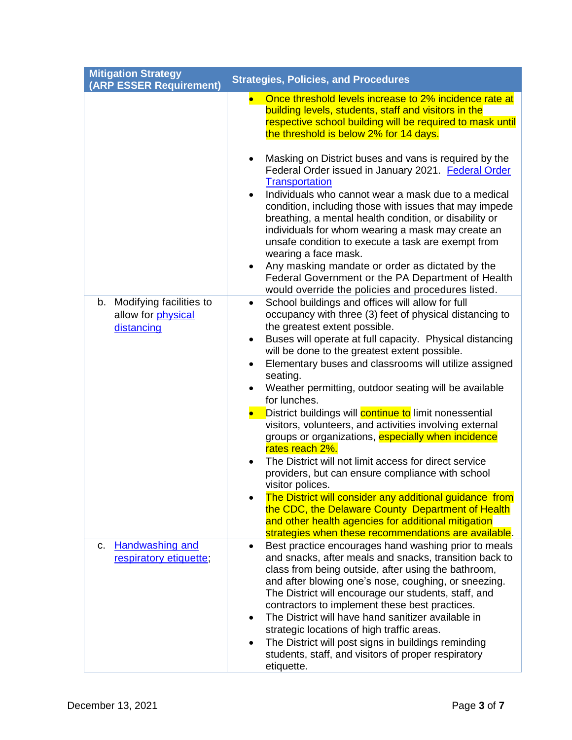| <b>Mitigation Strategy</b><br>(ARP ESSER Requirement)          | <b>Strategies, Policies, and Procedures</b>                                                                                                                                                                                                                                                                                                                                                                                                                                                                                                                                                                                                                                                                                                                                                                                                                                                                                                                                                              |
|----------------------------------------------------------------|----------------------------------------------------------------------------------------------------------------------------------------------------------------------------------------------------------------------------------------------------------------------------------------------------------------------------------------------------------------------------------------------------------------------------------------------------------------------------------------------------------------------------------------------------------------------------------------------------------------------------------------------------------------------------------------------------------------------------------------------------------------------------------------------------------------------------------------------------------------------------------------------------------------------------------------------------------------------------------------------------------|
|                                                                | Once threshold levels increase to 2% incidence rate at<br>$\bullet$<br>building levels, students, staff and visitors in the<br>respective school building will be required to mask until<br>the threshold is below 2% for 14 days.                                                                                                                                                                                                                                                                                                                                                                                                                                                                                                                                                                                                                                                                                                                                                                       |
|                                                                | Masking on District buses and vans is required by the<br>$\bullet$<br>Federal Order issued in January 2021. Federal Order<br><b>Transportation</b><br>Individuals who cannot wear a mask due to a medical<br>$\bullet$<br>condition, including those with issues that may impede<br>breathing, a mental health condition, or disability or<br>individuals for whom wearing a mask may create an<br>unsafe condition to execute a task are exempt from<br>wearing a face mask.<br>Any masking mandate or order as dictated by the<br>$\bullet$<br>Federal Government or the PA Department of Health<br>would override the policies and procedures listed.                                                                                                                                                                                                                                                                                                                                                 |
| b. Modifying facilities to<br>allow for physical<br>distancing | School buildings and offices will allow for full<br>$\bullet$<br>occupancy with three (3) feet of physical distancing to<br>the greatest extent possible.<br>Buses will operate at full capacity. Physical distancing<br>$\bullet$<br>will be done to the greatest extent possible.<br>Elementary buses and classrooms will utilize assigned<br>$\bullet$<br>seating.<br>Weather permitting, outdoor seating will be available<br>$\bullet$<br>for lunches.<br>District buildings will continue to limit nonessential<br>$\bullet$<br>visitors, volunteers, and activities involving external<br>groups or organizations, especially when incidence<br>rates reach 2%.<br>The District will not limit access for direct service<br>$\bullet$<br>providers, but can ensure compliance with school<br>visitor polices.<br>The District will consider any additional guidance from<br>$\bullet$<br>the CDC, the Delaware County Department of Health<br>and other health agencies for additional mitigation |
| <b>Handwashing and</b><br>c.<br>respiratory etiquette;         | strategies when these recommendations are available.<br>Best practice encourages hand washing prior to meals<br>$\bullet$<br>and snacks, after meals and snacks, transition back to<br>class from being outside, after using the bathroom,<br>and after blowing one's nose, coughing, or sneezing.<br>The District will encourage our students, staff, and<br>contractors to implement these best practices.<br>The District will have hand sanitizer available in<br>$\bullet$<br>strategic locations of high traffic areas.<br>The District will post signs in buildings reminding<br>$\bullet$<br>students, staff, and visitors of proper respiratory<br>etiquette.                                                                                                                                                                                                                                                                                                                                   |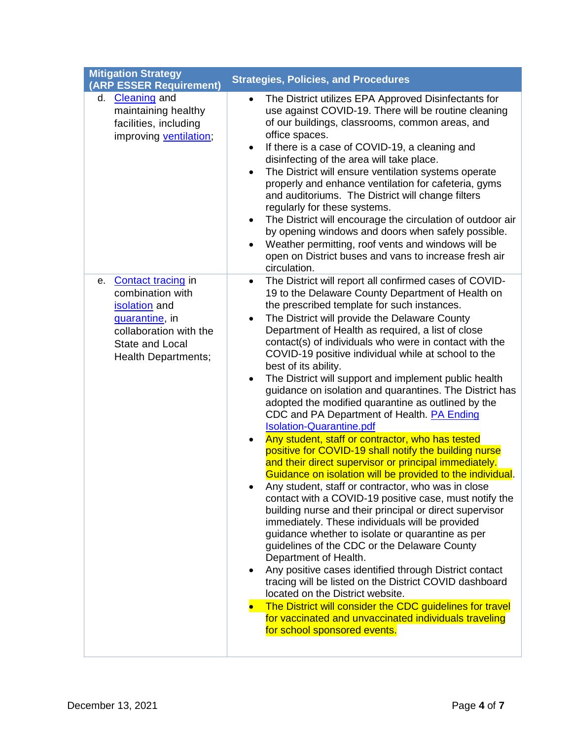| <b>Mitigation Strategy</b><br>(ARP ESSER Requirement)                                                                                                      | <b>Strategies, Policies, and Procedures</b>                                                                                                                                                                                                                                                                                                                                                                                                                                                                                                                                                                                                                                                                                                                                                                                                                                                                                                                                                                                                                                                                                                                                                                                                                                                                                                                                                                                                                                                                                                                                                                                                     |
|------------------------------------------------------------------------------------------------------------------------------------------------------------|-------------------------------------------------------------------------------------------------------------------------------------------------------------------------------------------------------------------------------------------------------------------------------------------------------------------------------------------------------------------------------------------------------------------------------------------------------------------------------------------------------------------------------------------------------------------------------------------------------------------------------------------------------------------------------------------------------------------------------------------------------------------------------------------------------------------------------------------------------------------------------------------------------------------------------------------------------------------------------------------------------------------------------------------------------------------------------------------------------------------------------------------------------------------------------------------------------------------------------------------------------------------------------------------------------------------------------------------------------------------------------------------------------------------------------------------------------------------------------------------------------------------------------------------------------------------------------------------------------------------------------------------------|
| <b>Cleaning</b> and<br>d.<br>maintaining healthy<br>facilities, including<br>improving ventilation;                                                        | The District utilizes EPA Approved Disinfectants for<br>$\bullet$<br>use against COVID-19. There will be routine cleaning<br>of our buildings, classrooms, common areas, and<br>office spaces.<br>If there is a case of COVID-19, a cleaning and<br>$\bullet$<br>disinfecting of the area will take place.<br>The District will ensure ventilation systems operate<br>$\bullet$<br>properly and enhance ventilation for cafeteria, gyms<br>and auditoriums. The District will change filters<br>regularly for these systems.<br>The District will encourage the circulation of outdoor air<br>$\bullet$<br>by opening windows and doors when safely possible.<br>Weather permitting, roof vents and windows will be<br>$\bullet$<br>open on District buses and vans to increase fresh air<br>circulation.                                                                                                                                                                                                                                                                                                                                                                                                                                                                                                                                                                                                                                                                                                                                                                                                                                       |
| Contact tracing in<br>е.<br>combination with<br>isolation and<br>quarantine, in<br>collaboration with the<br>State and Local<br><b>Health Departments;</b> | The District will report all confirmed cases of COVID-<br>$\bullet$<br>19 to the Delaware County Department of Health on<br>the prescribed template for such instances.<br>The District will provide the Delaware County<br>$\bullet$<br>Department of Health as required, a list of close<br>contact(s) of individuals who were in contact with the<br>COVID-19 positive individual while at school to the<br>best of its ability.<br>The District will support and implement public health<br>$\bullet$<br>guidance on isolation and quarantines. The District has<br>adopted the modified quarantine as outlined by the<br>CDC and PA Department of Health. <b>PA Ending</b><br><b>Isolation-Quarantine.pdf</b><br>Any student, staff or contractor, who has tested<br>$\bullet$<br>positive for COVID-19 shall notify the building nurse<br>and their direct supervisor or principal immediately.<br>Guidance on isolation will be provided to the individual.<br>Any student, staff or contractor, who was in close<br>contact with a COVID-19 positive case, must notify the<br>building nurse and their principal or direct supervisor<br>immediately. These individuals will be provided<br>guidance whether to isolate or quarantine as per<br>guidelines of the CDC or the Delaware County<br>Department of Health.<br>Any positive cases identified through District contact<br>٠<br>tracing will be listed on the District COVID dashboard<br>located on the District website.<br>The District will consider the CDC guidelines for travel<br>for vaccinated and unvaccinated individuals traveling<br>for school sponsored events. |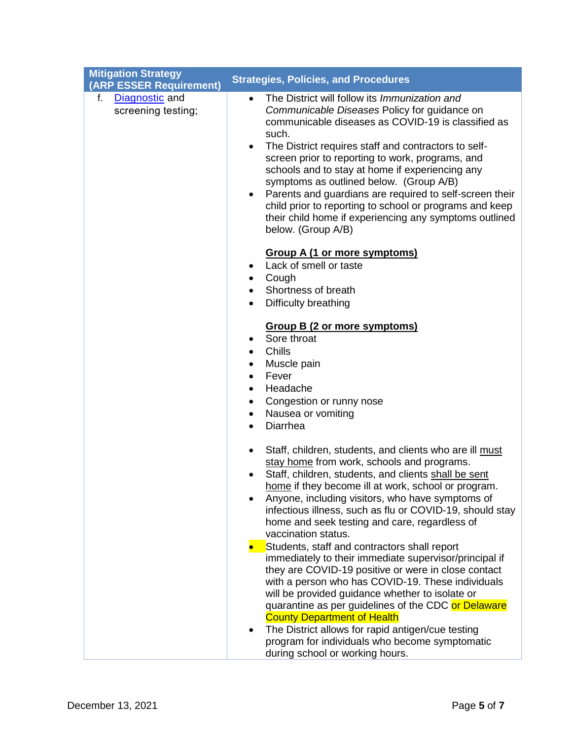| <b>Mitigation Strategy</b><br>(ARP ESSER Requirement) | <b>Strategies, Policies, and Procedures</b>                                                                                                                                                                                                                                                                                                                                                                                                                                                                                                                                                                         |
|-------------------------------------------------------|---------------------------------------------------------------------------------------------------------------------------------------------------------------------------------------------------------------------------------------------------------------------------------------------------------------------------------------------------------------------------------------------------------------------------------------------------------------------------------------------------------------------------------------------------------------------------------------------------------------------|
| Diagnostic and<br>f.<br>screening testing;            | The District will follow its Immunization and<br>$\bullet$<br>Communicable Diseases Policy for guidance on<br>communicable diseases as COVID-19 is classified as<br>such.<br>The District requires staff and contractors to self-<br>$\bullet$<br>screen prior to reporting to work, programs, and<br>schools and to stay at home if experiencing any<br>symptoms as outlined below. (Group A/B)<br>Parents and guardians are required to self-screen their<br>$\bullet$<br>child prior to reporting to school or programs and keep<br>their child home if experiencing any symptoms outlined<br>below. (Group A/B) |
|                                                       | <b>Group A (1 or more symptoms)</b><br>Lack of smell or taste<br>Cough<br>Shortness of breath<br>Difficulty breathing<br>$\bullet$                                                                                                                                                                                                                                                                                                                                                                                                                                                                                  |
|                                                       | <b>Group B (2 or more symptoms)</b><br>Sore throat<br>$\bullet$<br><b>Chills</b><br>$\bullet$<br>Muscle pain<br>$\bullet$<br>Fever<br>Headache<br>Congestion or runny nose<br>٠<br>Nausea or vomiting<br>$\bullet$<br>Diarrhea<br>$\bullet$                                                                                                                                                                                                                                                                                                                                                                         |
|                                                       | Staff, children, students, and clients who are ill must<br>$\bullet$<br>stay home from work, schools and programs.<br>Staff, children, students, and clients shall be sent<br>home if they become ill at work, school or program<br>Anyone, including visitors, who have symptoms of<br>infectious illness, such as flu or COVID-19, should stay<br>home and seek testing and care, regardless of<br>vaccination status.                                                                                                                                                                                            |
|                                                       | Students, staff and contractors shall report<br>$\bullet$<br>immediately to their immediate supervisor/principal if<br>they are COVID-19 positive or were in close contact<br>with a person who has COVID-19. These individuals<br>will be provided guidance whether to isolate or<br>quarantine as per guidelines of the CDC or Delaware<br><b>County Department of Health</b><br>The District allows for rapid antigen/cue testing<br>program for individuals who become symptomatic<br>during school or working hours.                                                                                           |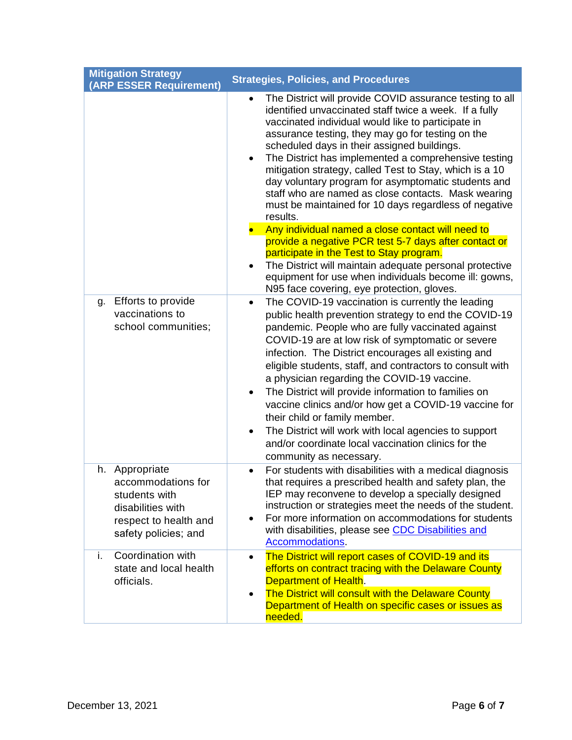| <b>Mitigation Strategy</b> | (ARP ESSER Requirement)                                                                                   | <b>Strategies, Policies, and Procedures</b>                                                                                                                                                                                                                                                                                                                                                                                                                                                                                                                                                                                                                                                                         |
|----------------------------|-----------------------------------------------------------------------------------------------------------|---------------------------------------------------------------------------------------------------------------------------------------------------------------------------------------------------------------------------------------------------------------------------------------------------------------------------------------------------------------------------------------------------------------------------------------------------------------------------------------------------------------------------------------------------------------------------------------------------------------------------------------------------------------------------------------------------------------------|
|                            |                                                                                                           | The District will provide COVID assurance testing to all<br>$\bullet$<br>identified unvaccinated staff twice a week. If a fully<br>vaccinated individual would like to participate in<br>assurance testing, they may go for testing on the<br>scheduled days in their assigned buildings.<br>The District has implemented a comprehensive testing<br>$\bullet$<br>mitigation strategy, called Test to Stay, which is a 10<br>day voluntary program for asymptomatic students and<br>staff who are named as close contacts. Mask wearing<br>must be maintained for 10 days regardless of negative<br>results.                                                                                                        |
|                            |                                                                                                           | Any individual named a close contact will need to<br>provide a negative PCR test 5-7 days after contact or<br>participate in the Test to Stay program.<br>The District will maintain adequate personal protective<br>$\bullet$                                                                                                                                                                                                                                                                                                                                                                                                                                                                                      |
|                            |                                                                                                           | equipment for use when individuals become ill: gowns,<br>N95 face covering, eye protection, gloves.                                                                                                                                                                                                                                                                                                                                                                                                                                                                                                                                                                                                                 |
| g.                         | Efforts to provide<br>vaccinations to<br>school communities;                                              | The COVID-19 vaccination is currently the leading<br>$\bullet$<br>public health prevention strategy to end the COVID-19<br>pandemic. People who are fully vaccinated against<br>COVID-19 are at low risk of symptomatic or severe<br>infection. The District encourages all existing and<br>eligible students, staff, and contractors to consult with<br>a physician regarding the COVID-19 vaccine.<br>The District will provide information to families on<br>٠<br>vaccine clinics and/or how get a COVID-19 vaccine for<br>their child or family member.<br>The District will work with local agencies to support<br>$\bullet$<br>and/or coordinate local vaccination clinics for the<br>community as necessary. |
| Appropriate<br>h.          | accommodations for<br>students with<br>disabilities with<br>respect to health and<br>safety policies; and | For students with disabilities with a medical diagnosis<br>$\bullet$<br>that requires a prescribed health and safety plan, the<br>IEP may reconvene to develop a specially designed<br>instruction or strategies meet the needs of the student.<br>For more information on accommodations for students<br>$\bullet$<br>with disabilities, please see CDC Disabilities and<br>Accommodations.                                                                                                                                                                                                                                                                                                                        |
| i.<br>officials.           | Coordination with<br>state and local health                                                               | The District will report cases of COVID-19 and its<br>$\bullet$<br>efforts on contract tracing with the Delaware County<br>Department of Health.<br>The District will consult with the Delaware County<br>$\bullet$<br>Department of Health on specific cases or issues as<br>needed.                                                                                                                                                                                                                                                                                                                                                                                                                               |